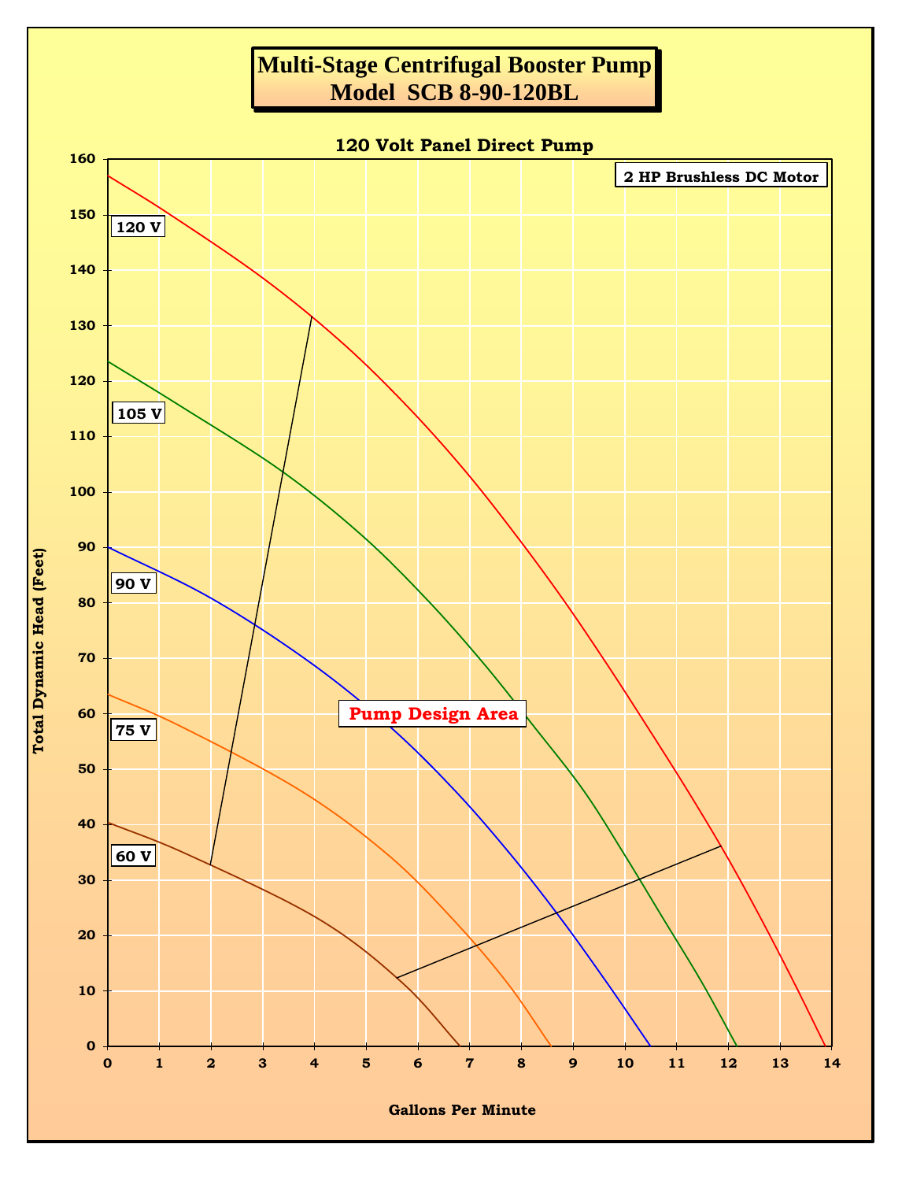